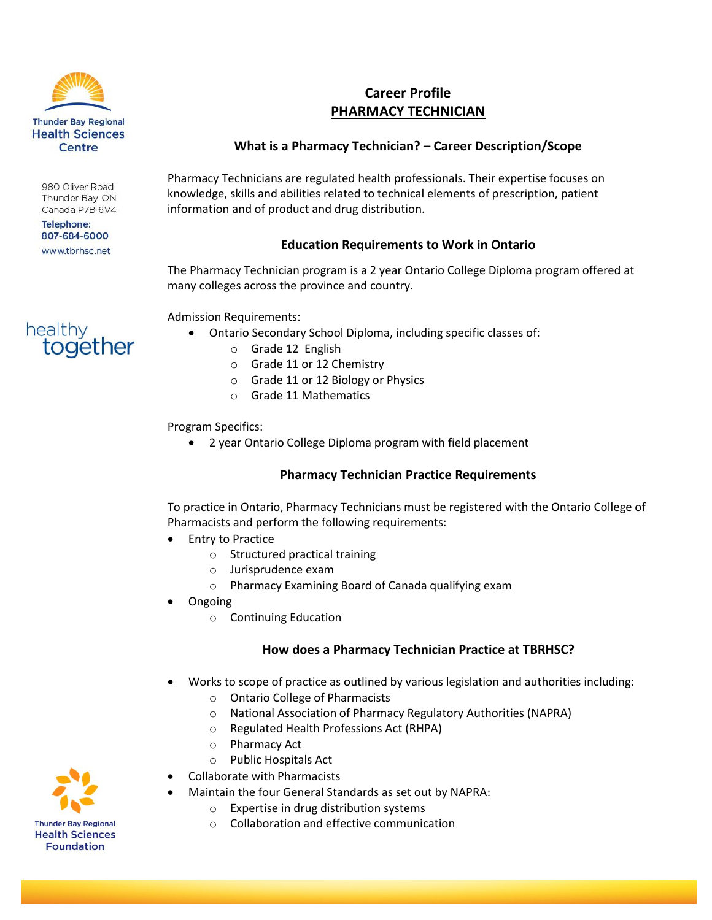

980 Oliver Road Thunder Bay, ON Canada P7B 6V4

**Telephone:** 807-684-6000 www.tbrhsc.net

together

healthy

# **Career Profile PHARMACY TECHNICIAN**

## **What is a Pharmacy Technician? – Career Description/Scope**

Pharmacy Technicians are regulated health professionals. Their expertise focuses on knowledge, skills and abilities related to technical elements of prescription, patient information and of product and drug distribution.

## **Education Requirements to Work in Ontario**

The Pharmacy Technician program is a 2 year Ontario College Diploma program offered at many colleges across the province and country.

Admission Requirements:

- Ontario Secondary School Diploma, including specific classes of:
	- o Grade 12 English
	- o Grade 11 or 12 Chemistry
	- o Grade 11 or 12 Biology or Physics
	- o Grade 11 Mathematics

Program Specifics:

2 year Ontario College Diploma program with field placement

## **Pharmacy Technician Practice Requirements**

To practice in Ontario, Pharmacy Technicians must be registered with the Ontario College of Pharmacists and perform the following requirements:

- Entry to Practice
	- o Structured practical training
	- o Jurisprudence exam
	- o Pharmacy Examining Board of Canada qualifying exam
- Ongoing
	- o Continuing Education

## **How does a Pharmacy Technician Practice at TBRHSC?**

- Works to scope of practice as outlined by various legislation and authorities including:
	- o Ontario College of Pharmacists
	- o National Association of Pharmacy Regulatory Authorities (NAPRA)
	- o Regulated Health Professions Act (RHPA)
	- o Pharmacy Act
	- o Public Hospitals Act
- Collaborate with Pharmacists
- Maintain the four General Standards as set out by NAPRA:
	- o Expertise in drug distribution systems
	- o Collaboration and effective communication